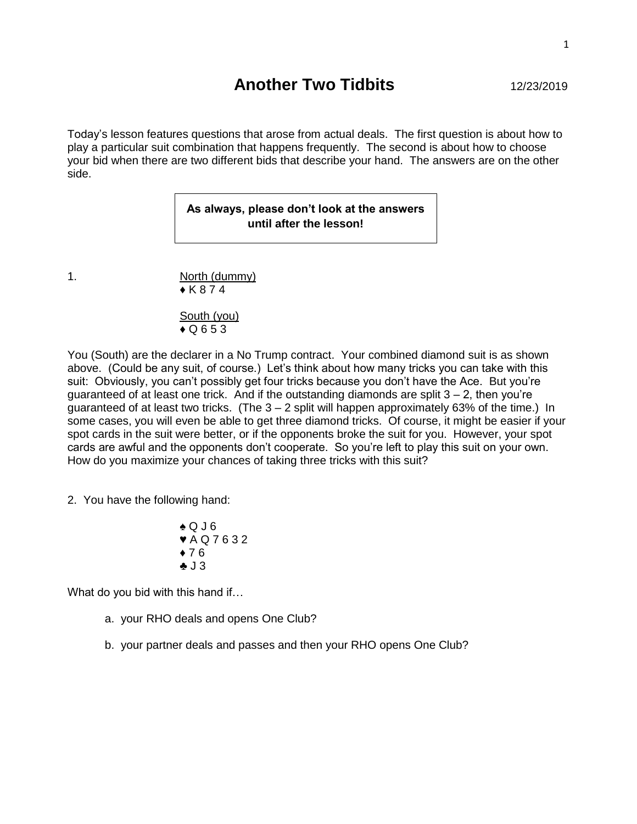## **Another Two Tidbits** 12/23/2019

Today's lesson features questions that arose from actual deals. The first question is about how to play a particular suit combination that happens frequently. The second is about how to choose your bid when there are two different bids that describe your hand. The answers are on the other side.

## **As always, please don't look at the answers until after the lesson!**

1. North (dummy) ♦ K 8 7 4

> South (you)  $\bigstar$  Q 6 5 3

You (South) are the declarer in a No Trump contract. Your combined diamond suit is as shown above. (Could be any suit, of course.) Let's think about how many tricks you can take with this suit: Obviously, you can't possibly get four tricks because you don't have the Ace. But you're guaranteed of at least one trick. And if the outstanding diamonds are split  $3 - 2$ , then you're quaranteed of at least two tricks. (The  $3 - 2$  split will happen approximately 63% of the time.) In some cases, you will even be able to get three diamond tricks. Of course, it might be easier if your spot cards in the suit were better, or if the opponents broke the suit for you. However, your spot cards are awful and the opponents don't cooperate. So you're left to play this suit on your own. How do you maximize your chances of taking three tricks with this suit?

2. You have the following hand:

♠ Q J 6 ♥ A Q 7 6 3 2 ♦ 7 6 ♣ J 3

What do you bid with this hand if…

- a. your RHO deals and opens One Club?
- b. your partner deals and passes and then your RHO opens One Club?